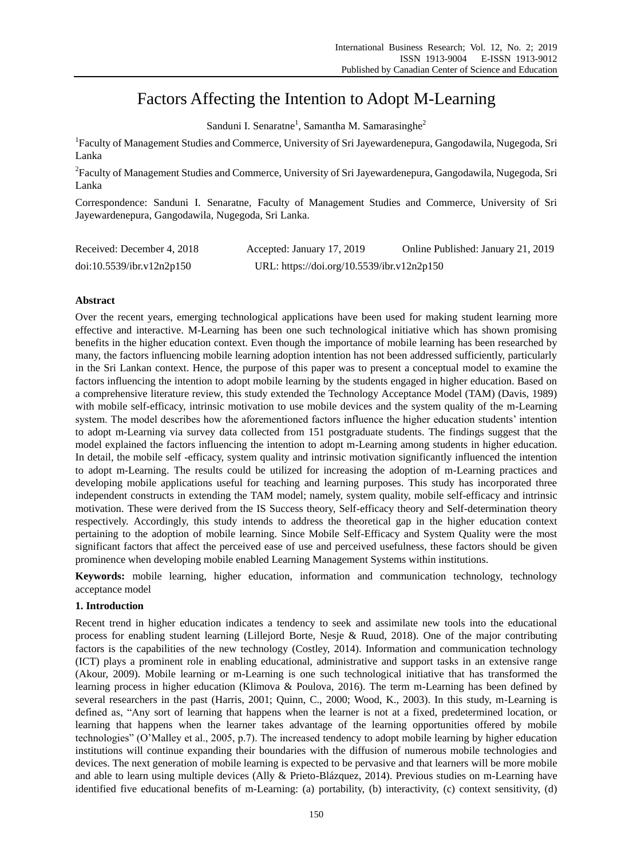# Factors Affecting the Intention to Adopt M-Learning

Sanduni I. Senaratne<sup>1</sup>, Samantha M. Samarasinghe<sup>2</sup>

<sup>1</sup>Faculty of Management Studies and Commerce, University of Sri Jayewardenepura, Gangodawila, Nugegoda, Sri Lanka

<sup>2</sup>Faculty of Management Studies and Commerce, University of Sri Jayewardenepura, Gangodawila, Nugegoda, Sri Lanka

Correspondence: Sanduni I. Senaratne, Faculty of Management Studies and Commerce, University of Sri Jayewardenepura, Gangodawila, Nugegoda, Sri Lanka.

| Received: December 4, 2018 | Accepted: January 17, 2019                 | Online Published: January 21, 2019 |
|----------------------------|--------------------------------------------|------------------------------------|
| doi:10.5539/ibr.v12n2p150  | URL: https://doi.org/10.5539/ibr.v12n2p150 |                                    |

# **Abstract**

Over the recent years, emerging technological applications have been used for making student learning more effective and interactive. M-Learning has been one such technological initiative which has shown promising benefits in the higher education context. Even though the importance of mobile learning has been researched by many, the factors influencing mobile learning adoption intention has not been addressed sufficiently, particularly in the Sri Lankan context. Hence, the purpose of this paper was to present a conceptual model to examine the factors influencing the intention to adopt mobile learning by the students engaged in higher education. Based on a comprehensive literature review, this study extended the Technology Acceptance Model (TAM) (Davis, 1989) with mobile self-efficacy, intrinsic motivation to use mobile devices and the system quality of the m-Learning system. The model describes how the aforementioned factors influence the higher education students' intention to adopt m-Learning via survey data collected from 151 postgraduate students. The findings suggest that the model explained the factors influencing the intention to adopt m-Learning among students in higher education. In detail, the mobile self -efficacy, system quality and intrinsic motivation significantly influenced the intention to adopt m-Learning. The results could be utilized for increasing the adoption of m-Learning practices and developing mobile applications useful for teaching and learning purposes. This study has incorporated three independent constructs in extending the TAM model; namely, system quality, mobile self-efficacy and intrinsic motivation. These were derived from the IS Success theory, Self-efficacy theory and Self-determination theory respectively. Accordingly, this study intends to address the theoretical gap in the higher education context pertaining to the adoption of mobile learning. Since Mobile Self-Efficacy and System Quality were the most significant factors that affect the perceived ease of use and perceived usefulness, these factors should be given prominence when developing mobile enabled Learning Management Systems within institutions.

**Keywords:** mobile learning, higher education, information and communication technology, technology acceptance model

# **1. Introduction**

Recent trend in higher education indicates a tendency to seek and assimilate new tools into the educational process for enabling student learning (Lillejord Borte, Nesje & Ruud, 2018). One of the major contributing factors is the capabilities of the new technology (Costley, 2014). Information and communication technology (ICT) plays a prominent role in enabling educational, administrative and support tasks in an extensive range (Akour, 2009). Mobile learning or m-Learning is one such technological initiative that has transformed the learning process in higher education (Klimova & Poulova, 2016). The term m-Learning has been defined by several researchers in the past (Harris, 2001; Quinn, C., 2000; Wood, K., 2003). In this study, m-Learning is defined as, "Any sort of learning that happens when the learner is not at a fixed, predetermined location, or learning that happens when the learner takes advantage of the learning opportunities offered by mobile technologies" (O"Malley et al., 2005, p.7). The increased tendency to adopt mobile learning by higher education institutions will continue expanding their boundaries with the diffusion of numerous mobile technologies and devices. The next generation of mobile learning is expected to be pervasive and that learners will be more mobile and able to learn using multiple devices (Ally & Prieto-Blázquez, 2014). Previous studies on m-Learning have identified five educational benefits of m-Learning: (a) portability, (b) interactivity, (c) context sensitivity, (d)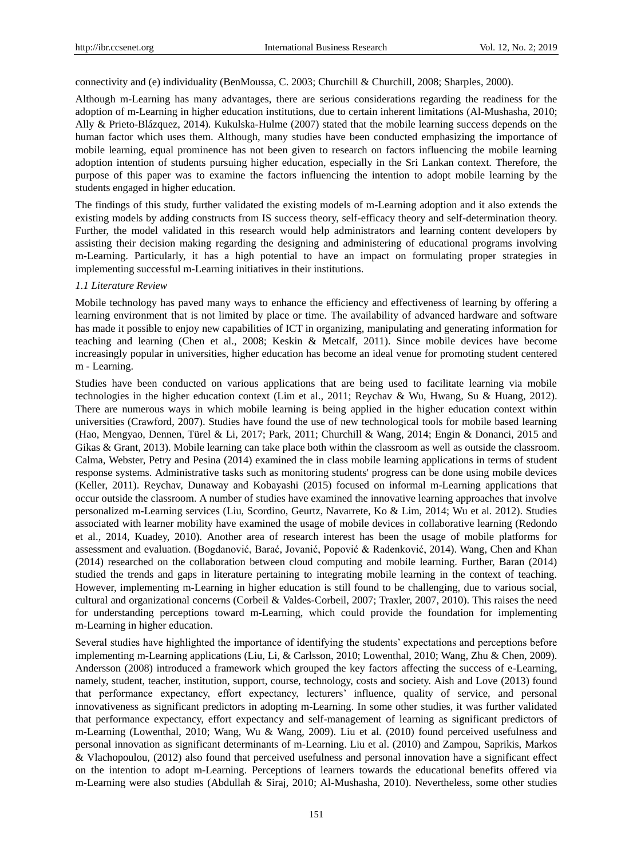connectivity and (e) individuality (BenMoussa, C. 2003; Churchill & Churchill, 2008; Sharples, 2000).

Although m-Learning has many advantages, there are serious considerations regarding the readiness for the adoption of m-Learning in higher education institutions, due to certain inherent limitations (Al-Mushasha, 2010; Ally & Prieto-Blázquez, 2014). Kukulska-Hulme (2007) stated that the mobile learning success depends on the human factor which uses them. Although, many studies have been conducted emphasizing the importance of mobile learning, equal prominence has not been given to research on factors influencing the mobile learning adoption intention of students pursuing higher education, especially in the Sri Lankan context. Therefore, the purpose of this paper was to examine the factors influencing the intention to adopt mobile learning by the students engaged in higher education.

The findings of this study, further validated the existing models of m-Learning adoption and it also extends the existing models by adding constructs from IS success theory, self-efficacy theory and self-determination theory. Further, the model validated in this research would help administrators and learning content developers by assisting their decision making regarding the designing and administering of educational programs involving m-Learning. Particularly, it has a high potential to have an impact on formulating proper strategies in implementing successful m-Learning initiatives in their institutions.

#### *1.1 Literature Review*

Mobile technology has paved many ways to enhance the efficiency and effectiveness of learning by offering a learning environment that is not limited by place or time. The availability of advanced hardware and software has made it possible to enjoy new capabilities of ICT in organizing, manipulating and generating information for teaching and learning (Chen et al., 2008; Keskin & Metcalf, 2011). Since mobile devices have become increasingly popular in universities, higher education has become an ideal venue for promoting student centered m - Learning.

Studies have been conducted on various applications that are being used to facilitate learning via mobile technologies in the higher education context (Lim et al., 2011; Reychav & Wu, Hwang, Su & Huang, 2012). There are numerous ways in which mobile learning is being applied in the higher education context within universities (Crawford, 2007). Studies have found the use of new technological tools for mobile based learning (Hao, Mengyao, Dennen, Türel & Li, 2017; Park, 2011; Churchill & Wang, 2014; Engin & Donanci, 2015 and Gikas & Grant, 2013). Mobile learning can take place both within the classroom as well as outside the classroom. Calma, Webster, Petry and Pesina (2014) examined the in class mobile learning applications in terms of student response systems. Administrative tasks such as monitoring students' progress can be done using mobile devices (Keller, 2011). Reychav, Dunaway and Kobayashi (2015) focused on informal m-Learning applications that occur outside the classroom. A number of studies have examined the innovative learning approaches that involve personalized m-Learning services (Liu, Scordino, Geurtz, Navarrete, Ko & Lim, 2014; Wu et al. 2012). Studies associated with learner mobility have examined the usage of mobile devices in collaborative learning (Redondo et al., 2014, Kuadey, 2010). Another area of research interest has been the usage of mobile platforms for assessment and evaluation. (Bogdanović, Barać, Jovanić, Popović & Radenković, 2014). Wang, Chen and Khan (2014) researched on the collaboration between cloud computing and mobile learning. Further, Baran (2014) studied the trends and gaps in literature pertaining to integrating mobile learning in the context of teaching. However, implementing m-Learning in higher education is still found to be challenging, due to various social, cultural and organizational concerns (Corbeil & Valdes-Corbeil, 2007; Traxler, 2007, 2010). This raises the need for understanding perceptions toward m-Learning, which could provide the foundation for implementing m-Learning in higher education.

Several studies have highlighted the importance of identifying the students" expectations and perceptions before implementing m-Learning applications (Liu, Li, & Carlsson, 2010; Lowenthal, 2010; Wang, Zhu & Chen, 2009). Andersson (2008) introduced a framework which grouped the key factors affecting the success of e-Learning, namely, student, teacher, institution, support, course, technology, costs and society. Aish and Love (2013) found that performance expectancy, effort expectancy, lecturers' influence, quality of service, and personal innovativeness as significant predictors in adopting m-Learning. In some other studies, it was further validated that performance expectancy, effort expectancy and self-management of learning as significant predictors of m-Learning (Lowenthal, 2010; Wang, Wu & Wang, 2009). Liu et al. (2010) found perceived usefulness and personal innovation as significant determinants of m-Learning. Liu et al. (2010) and Zampou, Saprikis, Markos & Vlachopoulou, (2012) also found that perceived usefulness and personal innovation have a significant effect on the intention to adopt m-Learning. Perceptions of learners towards the educational benefits offered via m-Learning were also studies (Abdullah & Siraj, 2010; Al-Mushasha, 2010). Nevertheless, some other studies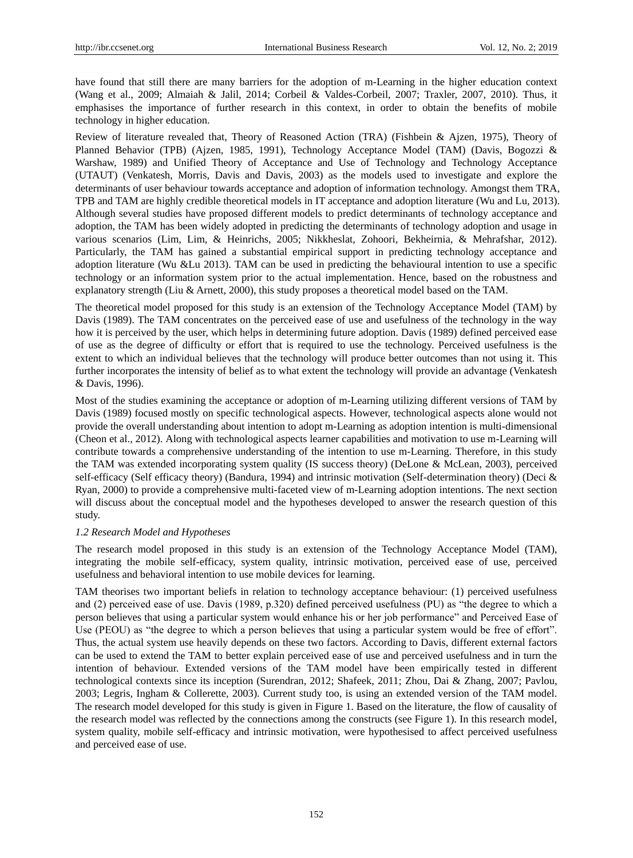have found that still there are many barriers for the adoption of m-Learning in the higher education context (Wang et al., 2009; Almaiah & Jalil, 2014; Corbeil & Valdes-Corbeil, 2007; Traxler, 2007, 2010). Thus, it emphasises the importance of further research in this context, in order to obtain the benefits of mobile technology in higher education.

Review of literature revealed that, Theory of Reasoned Action (TRA) (Fishbein & Ajzen, 1975), Theory of Planned Behavior (TPB) (Ajzen, 1985, 1991), Technology Acceptance Model (TAM) (Davis, Bogozzi & Warshaw, 1989) and Unified Theory of Acceptance and Use of Technology and Technology Acceptance (UTAUT) (Venkatesh, Morris, Davis and Davis, 2003) as the models used to investigate and explore the determinants of user behaviour towards acceptance and adoption of information technology. Amongst them TRA, TPB and TAM are highly credible theoretical models in IT acceptance and adoption literature (Wu and Lu, 2013). Although several studies have proposed different models to predict determinants of technology acceptance and adoption, the TAM has been widely adopted in predicting the determinants of technology adoption and usage in various scenarios (Lim, Lim, & Heinrichs, 2005; Nikkheslat, Zohoori, Bekheirnia, & Mehrafshar, 2012). Particularly, the TAM has gained a substantial empirical support in predicting technology acceptance and adoption literature (Wu &Lu 2013). TAM can be used in predicting the behavioural intention to use a specific technology or an information system prior to the actual implementation. Hence, based on the robustness and explanatory strength (Liu & Arnett, 2000), this study proposes a theoretical model based on the TAM.

The theoretical model proposed for this study is an extension of the Technology Acceptance Model (TAM) by Davis (1989). The TAM concentrates on the perceived ease of use and usefulness of the technology in the way how it is perceived by the user, which helps in determining future adoption. Davis (1989) defined perceived ease of use as the degree of difficulty or effort that is required to use the technology. Perceived usefulness is the extent to which an individual believes that the technology will produce better outcomes than not using it. This further incorporates the intensity of belief as to what extent the technology will provide an advantage (Venkatesh & Davis, 1996).

Most of the studies examining the acceptance or adoption of m-Learning utilizing different versions of TAM by Davis (1989) focused mostly on specific technological aspects. However, technological aspects alone would not provide the overall understanding about intention to adopt m-Learning as adoption intention is multi-dimensional (Cheon et al., 2012). Along with technological aspects learner capabilities and motivation to use m-Learning will contribute towards a comprehensive understanding of the intention to use m-Learning. Therefore, in this study the TAM was extended incorporating system quality (IS success theory) (DeLone & McLean, 2003), perceived self-efficacy (Self efficacy theory) (Bandura, 1994) and intrinsic motivation (Self-determination theory) (Deci & Ryan, 2000) to provide a comprehensive multi-faceted view of m-Learning adoption intentions. The next section will discuss about the conceptual model and the hypotheses developed to answer the research question of this study.

#### *1.2 Research Model and Hypotheses*

The research model proposed in this study is an extension of the Technology Acceptance Model (TAM), integrating the mobile self-efficacy, system quality, intrinsic motivation, perceived ease of use, perceived usefulness and behavioral intention to use mobile devices for learning.

TAM theorises two important beliefs in relation to technology acceptance behaviour: (1) perceived usefulness and (2) perceived ease of use. Davis (1989, p.320) defined perceived usefulness (PU) as "the degree to which a person believes that using a particular system would enhance his or her job performance" and Perceived Ease of Use (PEOU) as "the degree to which a person believes that using a particular system would be free of effort". Thus, the actual system use heavily depends on these two factors. According to Davis, different external factors can be used to extend the TAM to better explain perceived ease of use and perceived usefulness and in turn the intention of behaviour. Extended versions of the TAM model have been empirically tested in different technological contexts since its inception (Surendran, 2012; Shafeek, 2011; Zhou, Dai & Zhang, 2007; Pavlou, 2003; Legris, Ingham & Collerette, 2003). Current study too, is using an extended version of the TAM model. The research model developed for this study is given in Figure 1. Based on the literature, the flow of causality of the research model was reflected by the connections among the constructs (see Figure 1). In this research model, system quality, mobile self-efficacy and intrinsic motivation, were hypothesised to affect perceived usefulness and perceived ease of use.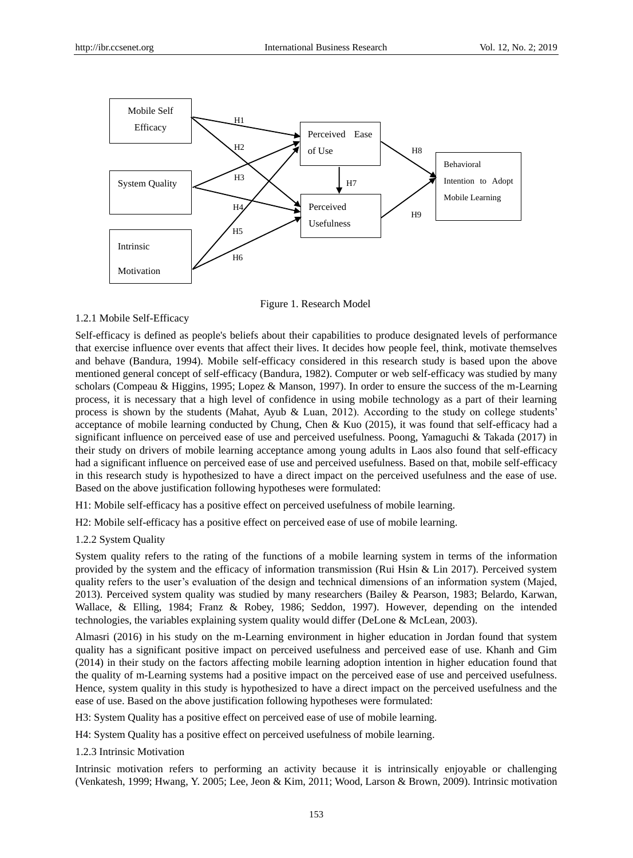

Figure 1. Research Model

## 1.2.1 Mobile Self-Efficacy

Self-efficacy is defined as people's beliefs about their capabilities to produce designated levels of performance that exercise influence over events that affect their lives. It decides how people feel, think, motivate themselves and behave (Bandura, 1994). Mobile self-efficacy considered in this research study is based upon the above mentioned general concept of self-efficacy (Bandura, 1982). Computer or web self-efficacy was studied by many scholars (Compeau & Higgins, 1995; Lopez & Manson, 1997). In order to ensure the success of the m-Learning process, it is necessary that a high level of confidence in using mobile technology as a part of their learning process is shown by the students (Mahat, Ayub & Luan, 2012). According to the study on college students" acceptance of mobile learning conducted by Chung, Chen & Kuo (2015), it was found that self-efficacy had a significant influence on perceived ease of use and perceived usefulness. Poong, Yamaguchi & Takada (2017) in their study on drivers of mobile learning acceptance among young adults in Laos also found that self-efficacy had a significant influence on perceived ease of use and perceived usefulness. Based on that, mobile self-efficacy in this research study is hypothesized to have a direct impact on the perceived usefulness and the ease of use. Based on the above justification following hypotheses were formulated:

H1: Mobile self-efficacy has a positive effect on perceived usefulness of mobile learning.

H2: Mobile self-efficacy has a positive effect on perceived ease of use of mobile learning.

1.2.2 System Quality

System quality refers to the rating of the functions of a mobile learning system in terms of the information provided by the system and the efficacy of information transmission (Rui Hsin & Lin 2017). Perceived system quality refers to the user"s evaluation of the design and technical dimensions of an information system (Majed, 2013). Perceived system quality was studied by many researchers (Bailey & Pearson, 1983; Belardo, Karwan, Wallace, & Elling, 1984; Franz & Robey, 1986; Seddon, 1997). However, depending on the intended technologies, the variables explaining system quality would differ (DeLone & McLean, 2003).

Almasri (2016) in his study on the m-Learning environment in higher education in Jordan found that system quality has a significant positive impact on perceived usefulness and perceived ease of use. Khanh and Gim (2014) in their study on the factors affecting mobile learning adoption intention in higher education found that the quality of m-Learning systems had a positive impact on the perceived ease of use and perceived usefulness. Hence, system quality in this study is hypothesized to have a direct impact on the perceived usefulness and the ease of use. Based on the above justification following hypotheses were formulated:

H3: System Quality has a positive effect on perceived ease of use of mobile learning.

H4: System Quality has a positive effect on perceived usefulness of mobile learning.

1.2.3 Intrinsic Motivation

Intrinsic motivation refers to performing an activity because it is intrinsically enjoyable or challenging (Venkatesh, 1999; Hwang, Y. 2005; Lee, Jeon & Kim, 2011; Wood, Larson & Brown, 2009). Intrinsic motivation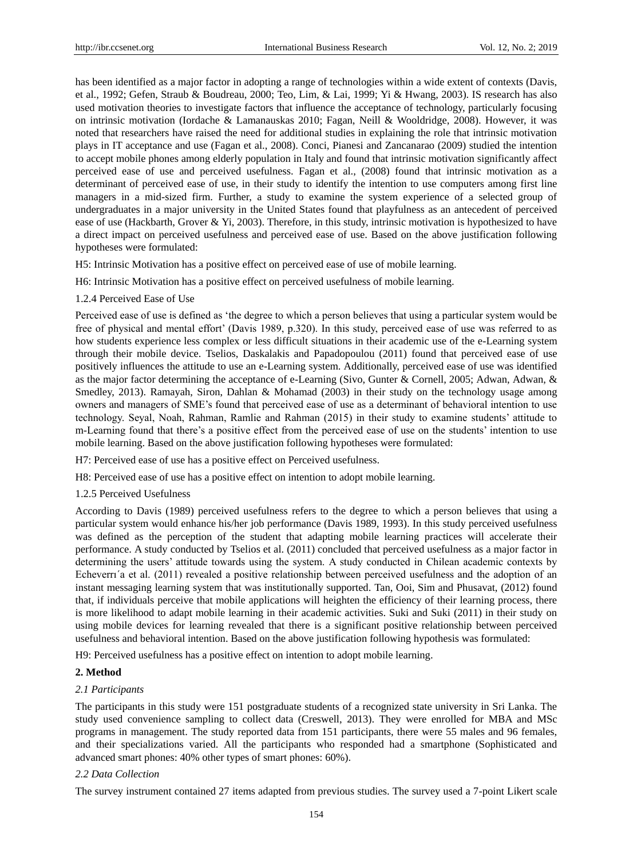has been identified as a major factor in adopting a range of technologies within a wide extent of contexts (Davis, et al., 1992; Gefen, Straub & Boudreau, 2000; Teo, Lim, & Lai, 1999; Yi & Hwang, 2003). IS research has also used motivation theories to investigate factors that influence the acceptance of technology, particularly focusing on intrinsic motivation (Iordache & Lamanauskas 2010; Fagan, Neill & Wooldridge, 2008). However, it was noted that researchers have raised the need for additional studies in explaining the role that intrinsic motivation plays in IT acceptance and use (Fagan et al., 2008). Conci, Pianesi and Zancanarao (2009) studied the intention to accept mobile phones among elderly population in Italy and found that intrinsic motivation significantly affect perceived ease of use and perceived usefulness. Fagan et al., (2008) found that intrinsic motivation as a determinant of perceived ease of use, in their study to identify the intention to use computers among first line managers in a mid-sized firm. Further, a study to examine the system experience of a selected group of undergraduates in a major university in the United States found that playfulness as an antecedent of perceived ease of use (Hackbarth, Grover & Yi, 2003). Therefore, in this study, intrinsic motivation is hypothesized to have a direct impact on perceived usefulness and perceived ease of use. Based on the above justification following hypotheses were formulated:

H5: Intrinsic Motivation has a positive effect on perceived ease of use of mobile learning.

H6: Intrinsic Motivation has a positive effect on perceived usefulness of mobile learning.

## 1.2.4 Perceived Ease of Use

Perceived ease of use is defined as "the degree to which a person believes that using a particular system would be free of physical and mental effort" (Davis 1989, p.320). In this study, perceived ease of use was referred to as how students experience less complex or less difficult situations in their academic use of the e-Learning system through their mobile device. Tselios, Daskalakis and Papadopoulou (2011) found that perceived ease of use positively influences the attitude to use an e-Learning system. Additionally, perceived ease of use was identified as the major factor determining the acceptance of e-Learning (Sivo, Gunter & Cornell, 2005; Adwan, Adwan, & Smedley, 2013). Ramayah, Siron, Dahlan & Mohamad (2003) in their study on the technology usage among owners and managers of SME"s found that perceived ease of use as a determinant of behavioral intention to use technology. Seyal, Noah, Rahman, Ramlie and Rahman (2015) in their study to examine students" attitude to m-Learning found that there's a positive effect from the perceived ease of use on the students' intention to use mobile learning. Based on the above justification following hypotheses were formulated:

H7: Perceived ease of use has a positive effect on Perceived usefulness.

H8: Perceived ease of use has a positive effect on intention to adopt mobile learning.

#### 1.2.5 Perceived Usefulness

According to Davis (1989) perceived usefulness refers to the degree to which a person believes that using a particular system would enhance his/her job performance (Davis 1989, 1993). In this study perceived usefulness was defined as the perception of the student that adapting mobile learning practices will accelerate their performance. A study conducted by Tselios et al. (2011) concluded that perceived usefulness as a major factor in determining the users" attitude towards using the system. A study conducted in Chilean academic contexts by Echeverrı´a et al. (2011) revealed a positive relationship between perceived usefulness and the adoption of an instant messaging learning system that was institutionally supported. Tan, Ooi, Sim and Phusavat, (2012) found that, if individuals perceive that mobile applications will heighten the efficiency of their learning process, there is more likelihood to adapt mobile learning in their academic activities. Suki and Suki (2011) in their study on using mobile devices for learning revealed that there is a significant positive relationship between perceived usefulness and behavioral intention. Based on the above justification following hypothesis was formulated:

H9: Perceived usefulness has a positive effect on intention to adopt mobile learning.

## **2. Method**

## *2.1 Participants*

The participants in this study were 151 postgraduate students of a recognized state university in Sri Lanka. The study used convenience sampling to collect data (Creswell, 2013). They were enrolled for MBA and MSc programs in management. The study reported data from 151 participants, there were 55 males and 96 females, and their specializations varied. All the participants who responded had a smartphone (Sophisticated and advanced smart phones: 40% other types of smart phones: 60%).

#### *2.2 Data Collection*

The survey instrument contained 27 items adapted from previous studies. The survey used a 7-point Likert scale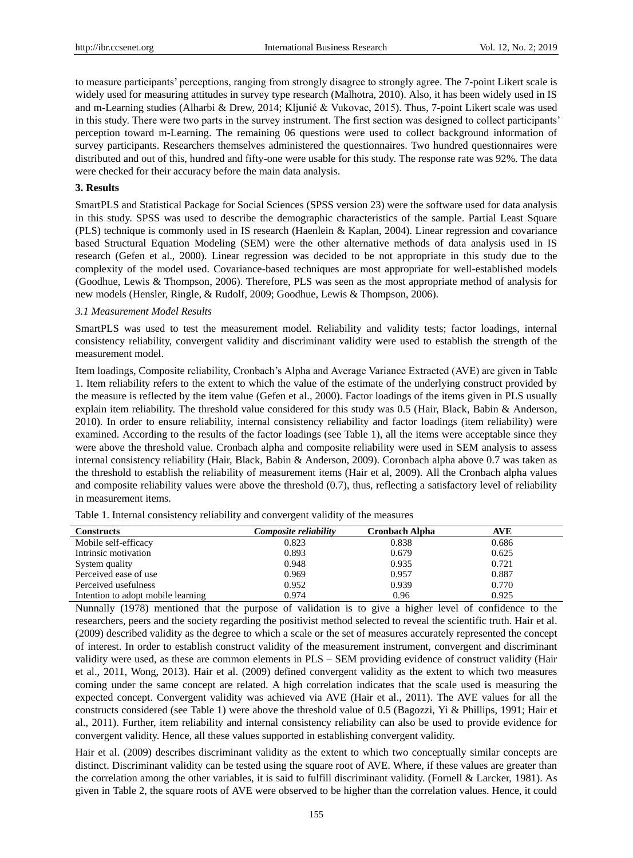to measure participants" perceptions, ranging from strongly disagree to strongly agree. The 7-point Likert scale is widely used for measuring attitudes in survey type research (Malhotra, 2010). Also, it has been widely used in IS and m-Learning studies (Alharbi & Drew, 2014; Kljunić & Vukovac, 2015). Thus, 7-point Likert scale was used in this study. There were two parts in the survey instrument. The first section was designed to collect participants" perception toward m-Learning. The remaining 06 questions were used to collect background information of survey participants. Researchers themselves administered the questionnaires. Two hundred questionnaires were distributed and out of this, hundred and fifty-one were usable for this study. The response rate was 92%. The data were checked for their accuracy before the main data analysis.

#### **3. Results**

SmartPLS and Statistical Package for Social Sciences (SPSS version 23) were the software used for data analysis in this study. SPSS was used to describe the demographic characteristics of the sample. Partial Least Square (PLS) technique is commonly used in IS research (Haenlein & Kaplan, 2004). Linear regression and covariance based Structural Equation Modeling (SEM) were the other alternative methods of data analysis used in IS research (Gefen et al., 2000). Linear regression was decided to be not appropriate in this study due to the complexity of the model used. Covariance-based techniques are most appropriate for well-established models (Goodhue, Lewis & Thompson, 2006). Therefore, PLS was seen as the most appropriate method of analysis for new models (Hensler, Ringle, & Rudolf, 2009; Goodhue, Lewis & Thompson, 2006).

#### *3.1 Measurement Model Results*

SmartPLS was used to test the measurement model. Reliability and validity tests; factor loadings, internal consistency reliability, convergent validity and discriminant validity were used to establish the strength of the measurement model.

Item loadings, Composite reliability, Cronbach"s Alpha and Average Variance Extracted (AVE) are given in Table 1. Item reliability refers to the extent to which the value of the estimate of the underlying construct provided by the measure is reflected by the item value (Gefen et al., 2000). Factor loadings of the items given in PLS usually explain item reliability. The threshold value considered for this study was 0.5 (Hair, Black, Babin & Anderson, 2010). In order to ensure reliability, internal consistency reliability and factor loadings (item reliability) were examined. According to the results of the factor loadings (see Table 1), all the items were acceptable since they were above the threshold value. Cronbach alpha and composite reliability were used in SEM analysis to assess internal consistency reliability (Hair, Black, Babin & Anderson, 2009). Coronbach alpha above 0.7 was taken as the threshold to establish the reliability of measurement items (Hair et al, 2009). All the Cronbach alpha values and composite reliability values were above the threshold (0.7), thus, reflecting a satisfactory level of reliability in measurement items.

| <b>Constructs</b>                  | Composite reliabilitv | <b>Cronbach Alpha</b> | <b>AVE</b> |  |
|------------------------------------|-----------------------|-----------------------|------------|--|
| Mobile self-efficacy               | 0.823                 | 0.838                 | 0.686      |  |
| Intrinsic motivation               | 0.893                 | 0.679                 | 0.625      |  |
| System quality                     | 0.948                 | 0.935                 | 0.721      |  |
| Perceived ease of use              | 0.969                 | 0.957                 | 0.887      |  |
| Perceived usefulness               | 0.952                 | 0.939                 | 0.770      |  |
| Intention to adopt mobile learning | 0.974                 | 0.96                  | 0.925      |  |

Table 1. Internal consistency reliability and convergent validity of the measures

Nunnally (1978) mentioned that the purpose of validation is to give a higher level of confidence to the researchers, peers and the society regarding the positivist method selected to reveal the scientific truth. Hair et al. (2009) described validity as the degree to which a scale or the set of measures accurately represented the concept of interest. In order to establish construct validity of the measurement instrument, convergent and discriminant validity were used, as these are common elements in PLS – SEM providing evidence of construct validity (Hair et al., 2011, Wong, 2013). Hair et al. (2009) defined convergent validity as the extent to which two measures coming under the same concept are related. A high correlation indicates that the scale used is measuring the expected concept. Convergent validity was achieved via AVE (Hair et al., 2011). The AVE values for all the constructs considered (see Table 1) were above the threshold value of 0.5 (Bagozzi, Yi & Phillips, 1991; Hair et al., 2011). Further, item reliability and internal consistency reliability can also be used to provide evidence for convergent validity. Hence, all these values supported in establishing convergent validity.

Hair et al. (2009) describes discriminant validity as the extent to which two conceptually similar concepts are distinct. Discriminant validity can be tested using the square root of AVE. Where, if these values are greater than the correlation among the other variables, it is said to fulfill discriminant validity. (Fornell & Larcker, 1981). As given in Table 2, the square roots of AVE were observed to be higher than the correlation values. Hence, it could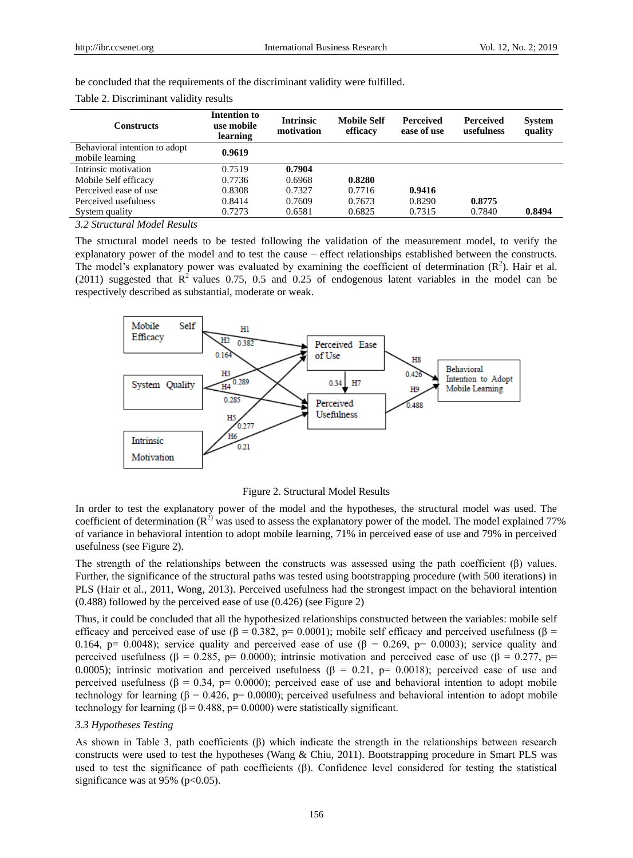be concluded that the requirements of the discriminant validity were fulfilled.

| <b>Constructs</b>                                | Intention to<br>use mobile<br>learning | <b>Intrinsic</b><br>motivation | <b>Mobile Self</b><br>efficacy | <b>Perceived</b><br>ease of use | <b>Perceived</b><br>usefulness | <b>System</b><br>quality |
|--------------------------------------------------|----------------------------------------|--------------------------------|--------------------------------|---------------------------------|--------------------------------|--------------------------|
| Behavioral intention to adopt<br>mobile learning | 0.9619                                 |                                |                                |                                 |                                |                          |
| Intrinsic motivation                             | 0.7519                                 | 0.7904                         |                                |                                 |                                |                          |
| Mobile Self efficacy                             | 0.7736                                 | 0.6968                         | 0.8280                         |                                 |                                |                          |
| Perceived ease of use                            | 0.8308                                 | 0.7327                         | 0.7716                         | 0.9416                          |                                |                          |
| Perceived usefulness                             | 0.8414                                 | 0.7609                         | 0.7673                         | 0.8290                          | 0.8775                         |                          |
| System quality                                   | 0.7273                                 | 0.6581                         | 0.6825                         | 0.7315                          | 0.7840                         | 0.8494                   |

Table 2. Discriminant validity results

#### *3.2 Structural Model Results*

The structural model needs to be tested following the validation of the measurement model, to verify the explanatory power of the model and to test the cause – effect relationships established between the constructs. The model's explanatory power was evaluated by examining the coefficient of determination  $(R^2)$ . Hair et al. (2011) suggested that  $R^2$  values 0.75, 0.5 and 0.25 of endogenous latent variables in the model can be respectively described as substantial, moderate or weak.



Figure 2. Structural Model Results

In order to test the explanatory power of the model and the hypotheses, the structural model was used. The coefficient of determination  $(R^2)$  was used to assess the explanatory power of the model. The model explained 77% of variance in behavioral intention to adopt mobile learning, 71% in perceived ease of use and 79% in perceived usefulness (see Figure 2).

The strength of the relationships between the constructs was assessed using the path coefficient  $(\beta)$  values. Further, the significance of the structural paths was tested using bootstrapping procedure (with 500 iterations) in PLS (Hair et al., 2011, Wong, 2013). Perceived usefulness had the strongest impact on the behavioral intention (0.488) followed by the perceived ease of use (0.426) (see Figure 2)

Thus, it could be concluded that all the hypothesized relationships constructed between the variables: mobile self efficacy and perceived ease of use (β = 0.382, p= 0.0001); mobile self efficacy and perceived usefulness (β = 0.164, p= 0.0048); service quality and perceived ease of use ( $\beta$  = 0.269, p= 0.0003); service quality and perceived usefulness ( $\beta = 0.285$ , p= 0.0000); intrinsic motivation and perceived ease of use ( $\beta = 0.277$ , p= 0.0005); intrinsic motivation and perceived usefulness ( $\beta = 0.21$ , p= 0.0018); perceived ease of use and perceived usefulness (β = 0.34, p= 0.0000); perceived ease of use and behavioral intention to adopt mobile technology for learning (β = 0.426, p= 0.0000); perceived usefulness and behavioral intention to adopt mobile technology for learning ( $\beta = 0.488$ , p= 0.0000) were statistically significant.

## *3.3 Hypotheses Testing*

As shown in Table 3, path coefficients  $(\beta)$  which indicate the strength in the relationships between research constructs were used to test the hypotheses (Wang & Chiu, 2011). Bootstrapping procedure in Smart PLS was used to test the significance of path coefficients (β). Confidence level considered for testing the statistical significance was at 95% ( $p<0.05$ ).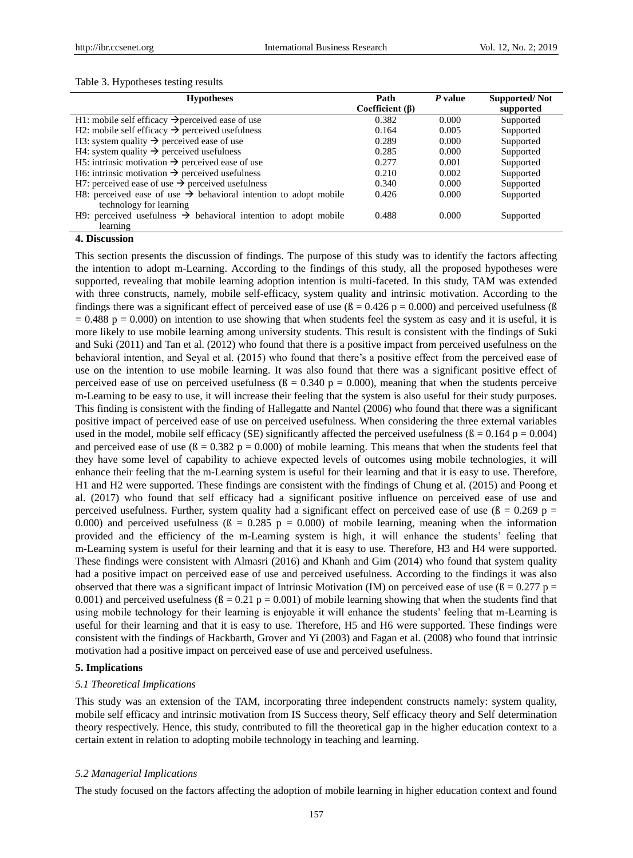## Table 3. Hypotheses testing results

| <b>Hypotheses</b>                                                            | Path                  | P value | <b>Supported/Not</b> |
|------------------------------------------------------------------------------|-----------------------|---------|----------------------|
|                                                                              | Coefficient $(\beta)$ |         | supported            |
| H1: mobile self efficacy $\rightarrow$ perceived ease of use                 | 0.382                 | 0.000   | Supported            |
| H2: mobile self efficacy $\rightarrow$ perceived usefulness                  | 0.164                 | 0.005   | Supported            |
| H3: system quality $\rightarrow$ perceived ease of use                       | 0.289                 | 0.000   | Supported            |
| H4: system quality $\rightarrow$ perceived usefulness                        | 0.285                 | 0.000   | Supported            |
| H5: intrinsic motivation $\rightarrow$ perceived ease of use                 | 0.277                 | 0.001   | Supported            |
| H6: intrinsic motivation $\rightarrow$ perceived usefulness                  | 0.210                 | 0.002   | Supported            |
| H7: perceived ease of use $\rightarrow$ perceived usefulness                 | 0.340                 | 0.000   | Supported            |
| H8: perceived ease of use $\rightarrow$ behavioral intention to adopt mobile | 0.426                 | 0.000   | Supported            |
| technology for learning                                                      |                       |         |                      |
| H9: perceived usefulness $\rightarrow$ behavioral intention to adopt mobile  | 0.488                 | 0.000   | Supported            |
| learning                                                                     |                       |         |                      |

## **4. Discussion**

This section presents the discussion of findings. The purpose of this study was to identify the factors affecting the intention to adopt m-Learning. According to the findings of this study, all the proposed hypotheses were supported, revealing that mobile learning adoption intention is multi-faceted. In this study, TAM was extended with three constructs, namely, mobile self-efficacy, system quality and intrinsic motivation. According to the findings there was a significant effect of perceived ease of use ( $\beta = 0.426$  p = 0.000) and perceived usefulness ( $\beta$  $= 0.488$  p  $= 0.000$ ) on intention to use showing that when students feel the system as easy and it is useful, it is more likely to use mobile learning among university students. This result is consistent with the findings of Suki and Suki (2011) and Tan et al. (2012) who found that there is a positive impact from perceived usefulness on the behavioral intention, and Seyal et al. (2015) who found that there"s a positive effect from the perceived ease of use on the intention to use mobile learning. It was also found that there was a significant positive effect of perceived ease of use on perceived usefulness ( $\beta = 0.340$  p = 0.000), meaning that when the students perceive m-Learning to be easy to use, it will increase their feeling that the system is also useful for their study purposes. This finding is consistent with the finding of Hallegatte and Nantel (2006) who found that there was a significant positive impact of perceived ease of use on perceived usefulness. When considering the three external variables used in the model, mobile self efficacy (SE) significantly affected the perceived usefulness ( $\beta = 0.164$  p = 0.004) and perceived ease of use ( $\beta$  = 0.382 p = 0.000) of mobile learning. This means that when the students feel that they have some level of capability to achieve expected levels of outcomes using mobile technologies, it will enhance their feeling that the m-Learning system is useful for their learning and that it is easy to use. Therefore, H1 and H2 were supported. These findings are consistent with the findings of Chung et al. (2015) and Poong et al. (2017) who found that self efficacy had a significant positive influence on perceived ease of use and perceived usefulness. Further, system quality had a significant effect on perceived ease of use ( $\beta$  = 0.269 p = 0.000) and perceived usefulness ( $\beta = 0.285$  p = 0.000) of mobile learning, meaning when the information provided and the efficiency of the m-Learning system is high, it will enhance the students" feeling that m-Learning system is useful for their learning and that it is easy to use. Therefore, H3 and H4 were supported. These findings were consistent with Almasri (2016) and Khanh and Gim (2014) who found that system quality had a positive impact on perceived ease of use and perceived usefulness. According to the findings it was also observed that there was a significant impact of Intrinsic Motivation (IM) on perceived ease of use ( $\beta = 0.277$  p = 0.001) and perceived usefulness ( $\beta$  = 0.21 p = 0.001) of mobile learning showing that when the students find that using mobile technology for their learning is enjoyable it will enhance the students" feeling that m-Learning is useful for their learning and that it is easy to use. Therefore, H5 and H6 were supported. These findings were consistent with the findings of Hackbarth, Grover and Yi (2003) and Fagan et al. (2008) who found that intrinsic motivation had a positive impact on perceived ease of use and perceived usefulness.

## **5. Implications**

#### *5.1 Theoretical Implications*

This study was an extension of the TAM, incorporating three independent constructs namely: system quality, mobile self efficacy and intrinsic motivation from IS Success theory, Self efficacy theory and Self determination theory respectively. Hence, this study, contributed to fill the theoretical gap in the higher education context to a certain extent in relation to adopting mobile technology in teaching and learning.

#### *5.2 Managerial Implications*

The study focused on the factors affecting the adoption of mobile learning in higher education context and found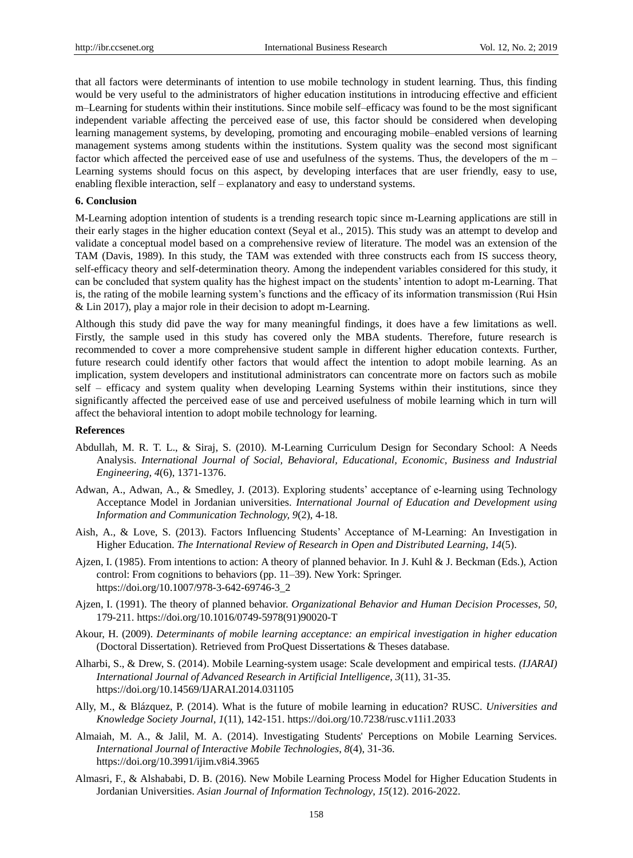that all factors were determinants of intention to use mobile technology in student learning. Thus, this finding would be very useful to the administrators of higher education institutions in introducing effective and efficient m–Learning for students within their institutions. Since mobile self–efficacy was found to be the most significant independent variable affecting the perceived ease of use, this factor should be considered when developing learning management systems, by developing, promoting and encouraging mobile–enabled versions of learning management systems among students within the institutions. System quality was the second most significant factor which affected the perceived ease of use and usefulness of the systems. Thus, the developers of the m – Learning systems should focus on this aspect, by developing interfaces that are user friendly, easy to use, enabling flexible interaction, self – explanatory and easy to understand systems.

#### **6. Conclusion**

M-Learning adoption intention of students is a trending research topic since m-Learning applications are still in their early stages in the higher education context (Seyal et al., 2015). This study was an attempt to develop and validate a conceptual model based on a comprehensive review of literature. The model was an extension of the TAM (Davis, 1989). In this study, the TAM was extended with three constructs each from IS success theory, self-efficacy theory and self-determination theory. Among the independent variables considered for this study, it can be concluded that system quality has the highest impact on the students" intention to adopt m-Learning. That is, the rating of the mobile learning system"s functions and the efficacy of its information transmission (Rui Hsin & Lin 2017), play a major role in their decision to adopt m-Learning.

Although this study did pave the way for many meaningful findings, it does have a few limitations as well. Firstly, the sample used in this study has covered only the MBA students. Therefore, future research is recommended to cover a more comprehensive student sample in different higher education contexts. Further, future research could identify other factors that would affect the intention to adopt mobile learning. As an implication, system developers and institutional administrators can concentrate more on factors such as mobile self – efficacy and system quality when developing Learning Systems within their institutions, since they significantly affected the perceived ease of use and perceived usefulness of mobile learning which in turn will affect the behavioral intention to adopt mobile technology for learning.

#### **References**

- Abdullah, M. R. T. L., & Siraj, S. (2010). M-Learning Curriculum Design for Secondary School: A Needs Analysis. *International Journal of Social, Behavioral, Educational, Economic, Business and Industrial Engineering, 4*(6), 1371-1376.
- Adwan, A., Adwan, A., & Smedley, J. (2013). Exploring students' acceptance of e-learning using Technology Acceptance Model in Jordanian universities. *International Journal of Education and Development using Information and Communication Technology, 9*(2), 4-18.
- Aish, A., & Love, S. (2013). Factors Influencing Students" Acceptance of M-Learning: An Investigation in Higher Education. *The International Review of Research in Open and Distributed Learning, 14*(5).
- Ajzen, I. (1985). From intentions to action: A theory of planned behavior. In J. Kuhl & J. Beckman (Eds.), Action control: From cognitions to behaviors (pp. 11–39). New York: Springer. https://doi.org/10.1007/978-3-642-69746-3\_2
- Ajzen, I. (1991). The theory of planned behavior. *Organizational Behavior and Human Decision Processes, 50,*  179-211. https://doi.org/10.1016/0749-5978(91)90020-T
- Akour, H. (2009). *Determinants of mobile learning acceptance: an empirical investigation in higher education* (Doctoral Dissertation). Retrieved from ProQuest Dissertations & Theses database.
- Alharbi, S., & Drew, S. (2014). Mobile Learning-system usage: Scale development and empirical tests. *(IJARAI) International Journal of Advanced Research in Artificial Intelligence, 3*(11), 31-35. https://doi.org/10.14569/IJARAI.2014.031105
- Ally, M., & Blázquez, P. (2014). What is the future of mobile learning in education? RUSC. *Universities and Knowledge Society Journal, 1*(11), 142-151. https://doi.org/10.7238/rusc.v11i1.2033
- Almaiah, M. A., & Jalil, M. A. (2014). Investigating Students' Perceptions on Mobile Learning Services. *International Journal of Interactive Mobile Technologies*, *8*(4), 31-36. https://doi.org/10.3991/ijim.v8i4.3965
- Almasri, F., & Alshababi, D. B. (2016). New Mobile Learning Process Model for Higher Education Students in Jordanian Universities. *Asian Journal of Information Technology*, *15*(12). 2016-2022.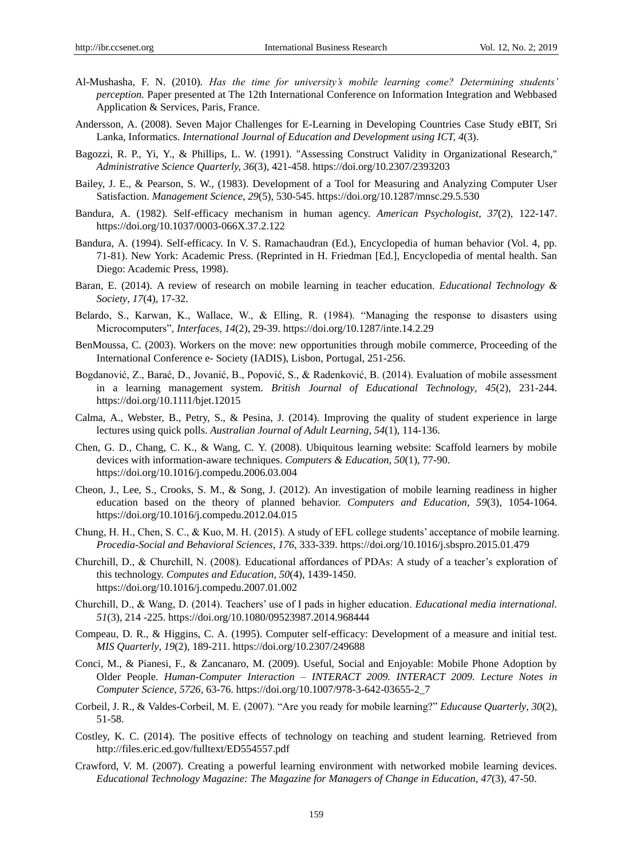- Al-Mushasha, F. N. (2010). *Has the time for university's mobile learning come? Determining students' perception.* Paper presented at The 12th International Conference on Information Integration and Webbased Application & Services, Paris, France.
- Andersson, A. (2008). Seven Major Challenges for E-Learning in Developing Countries Case Study eBIT, Sri Lanka, Informatics. *International Journal of Education and Development using ICT, 4*(3).
- Bagozzi, R. P., Yi, Y., & Phillips, L. W. (1991). "Assessing Construct Validity in Organizational Research," *Administrative Science Quarterly, 36*(3), 421-458. https://doi.org/10.2307/2393203
- Bailey, J. E., & Pearson, S. W., (1983). Development of a Tool for Measuring and Analyzing Computer User Satisfaction. *Management Science*, *29*(5), 530-545. https://doi.org/10.1287/mnsc.29.5.530
- Bandura, A. (1982). Self-efficacy mechanism in human agency. *American Psychologist*, *37*(2), 122-147. https://doi.org/10.1037/0003-066X.37.2.122
- Bandura, A. (1994). Self-efficacy. In V. S. Ramachaudran (Ed.), Encyclopedia of human behavior (Vol. 4, pp. 71-81). New York: Academic Press. (Reprinted in H. Friedman [Ed.], Encyclopedia of mental health. San Diego: Academic Press, 1998).
- Baran, E. (2014). A review of research on mobile learning in teacher education. *Educational Technology & Society*, *17*(4), 17-32.
- Belardo, S., Karwan, K., Wallace, W., & Elling, R. (1984). "Managing the response to disasters using Microcomputers", *Interfaces*, *14*(2), 29-39. https://doi.org/10.1287/inte.14.2.29
- BenMoussa, C. (2003). Workers on the move: new opportunities through mobile commerce, Proceeding of the International Conference e- Society (IADIS), Lisbon, Portugal, 251-256.
- Bogdanović, Z., Barać, D., Jovanić, B., Popović, S., & Radenković, B. (2014). Evaluation of mobile assessment in a learning management system. *British Journal of Educational Technology*, *45*(2), 231-244. https://doi.org/10.1111/bjet.12015
- Calma, A., Webster, B., Petry, S., & Pesina, J. (2014). Improving the quality of student experience in large lectures using quick polls. *Australian Journal of Adult Learning*, *54*(1), 114-136.
- Chen, G. D., Chang, C. K., & Wang, C. Y. (2008). Ubiquitous learning website: Scaffold learners by mobile devices with information-aware techniques. *Computers & Education*, *50*(1), 77-90. https://doi.org/10.1016/j.compedu.2006.03.004
- Cheon, J., Lee, S., Crooks, S. M., & Song, J. (2012). An investigation of mobile learning readiness in higher education based on the theory of planned behavior. *Computers and Education*, *59*(3), 1054-1064. https://doi.org/10.1016/j.compedu.2012.04.015
- Chung, H. H., Chen, S. C., & Kuo, M. H. (2015). A study of EFL college students" acceptance of mobile learning. *Procedia-Social and Behavioral Sciences*, *176,* 333-339. https://doi.org/10.1016/j.sbspro.2015.01.479
- Churchill, D., & Churchill, N. (2008). Educational affordances of PDAs: A study of a teacher's exploration of this technology. *Computes and Education*, *50*(4), 1439-1450. https://doi.org/10.1016/j.compedu.2007.01.002
- Churchill, D., & Wang, D. (2014). Teachers" use of I pads in higher education. *Educational media international. 51*(3), 214 -225. https://doi.org/10.1080/09523987.2014.968444
- Compeau, D. R., & Higgins, C. A. (1995). Computer self-efficacy: Development of a measure and initial test. *MIS Quarterly*, *19*(2), 189-211. https://doi.org/10.2307/249688
- Conci, M., & Pianesi, F., & Zancanaro, M. (2009). Useful, Social and Enjoyable: Mobile Phone Adoption by Older People. *Human-Computer Interaction – INTERACT 2009. INTERACT 2009. Lecture Notes in Computer Science, 5726,* 63-76. https://doi.org/10.1007/978-3-642-03655-2\_7
- Corbeil, J. R., & Valdes-Corbeil, M. E. (2007). "Are you ready for mobile learning?" *Educause Quarterly*, *30*(2), 51-58.
- Costley, K. C. (2014). The positive effects of technology on teaching and student learning. Retrieved from http://files.eric.ed.gov/fulltext/ED554557.pdf
- Crawford, V. M. (2007). Creating a powerful learning environment with networked mobile learning devices. *Educational Technology Magazine: The Magazine for Managers of Change in Education*, *47*(3), 47-50.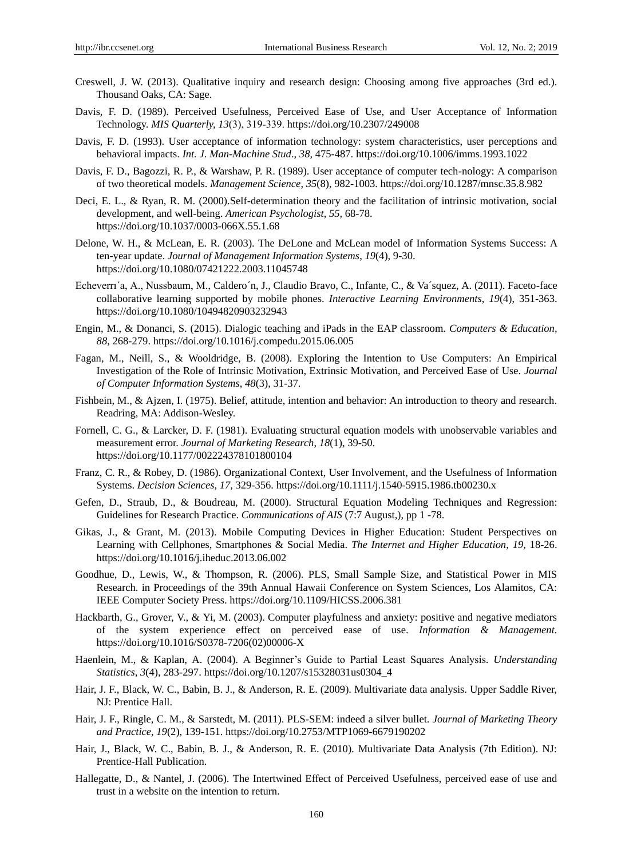- Creswell, J. W. (2013). Qualitative inquiry and research design: Choosing among five approaches (3rd ed.). Thousand Oaks, CA: Sage.
- Davis, F. D. (1989). Perceived Usefulness, Perceived Ease of Use, and User Acceptance of Information Technology. *MIS Quarterly, 13*(3), 319‐339. https://doi.org/10.2307/249008
- Davis, F. D. (1993). User acceptance of information technology: system characteristics, user perceptions and behavioral impacts. *Int. J. Man-Machine Stud*., *38,* 475-487. https://doi.org/10.1006/imms.1993.1022
- Davis, F. D., Bagozzi, R. P., & Warshaw, P. R. (1989). User acceptance of computer tech-nology: A comparison of two theoretical models. *Management Science*, *35*(8), 982-1003. https://doi.org/10.1287/mnsc.35.8.982
- Deci, E. L., & Ryan, R. M. (2000).Self-determination theory and the facilitation of intrinsic motivation, social development, and well-being. *American Psychologist*, *55,* 68-78. https://doi.org/10.1037/0003-066X.55.1.68
- Delone, W. H., & McLean, E. R. (2003). The DeLone and McLean model of Information Systems Success: A ten-year update. *Journal of Management Information Systems*, *19*(4), 9-30. https://doi.org/10.1080/07421222.2003.11045748
- Echeverri'a, A., Nussbaum, M., Caldero ín, J., Claudio Bravo, C., Infante, C., & Va squez, A. (2011). Faceto-face collaborative learning supported by mobile phones. *Interactive Learning Environments*, *19*(4), 351-363. https://doi.org/10.1080/10494820903232943
- Engin, M., & Donanci, S. (2015). Dialogic teaching and iPads in the EAP classroom. *Computers & Education*, *88,* 268-279. https://doi.org/10.1016/j.compedu.2015.06.005
- Fagan, M., Neill, S., & Wooldridge, B. (2008). Exploring the Intention to Use Computers: An Empirical Investigation of the Role of Intrinsic Motivation, Extrinsic Motivation, and Perceived Ease of Use. *Journal of Computer Information Systems*, *48*(3), 31-37.
- Fishbein, M., & Ajzen, I. (1975). Belief, attitude, intention and behavior: An introduction to theory and research. Readring, MA: Addison-Wesley.
- Fornell, C. G., & Larcker, D. F. (1981). Evaluating structural equation models with unobservable variables and measurement error. *Journal of Marketing Research*, *18*(1), 39-50. https://doi.org/10.1177/002224378101800104
- Franz, C. R., & Robey, D. (1986). Organizational Context, User Involvement, and the Usefulness of Information Systems. *Decision Sciences*, *17,* 329-356. https://doi.org/10.1111/j.1540-5915.1986.tb00230.x
- Gefen, D., Straub, D., & Boudreau, M. (2000). Structural Equation Modeling Techniques and Regression: Guidelines for Research Practice. *Communications of AIS* (7:7 August,), pp 1 -78.
- Gikas, J., & Grant, M. (2013). Mobile Computing Devices in Higher Education: Student Perspectives on Learning with Cellphones, Smartphones & Social Media. *The Internet and Higher Education*, *19,* 18-26. https://doi.org/10.1016/j.iheduc.2013.06.002
- Goodhue, D., Lewis, W., & Thompson, R. (2006). PLS, Small Sample Size, and Statistical Power in MIS Research. in Proceedings of the 39th Annual Hawaii Conference on System Sciences, Los Alamitos, CA: IEEE Computer Society Press. https://doi.org/10.1109/HICSS.2006.381
- Hackbarth, G., Grover, V., & Yi, M. (2003). Computer playfulness and anxiety: positive and negative mediators of the system experience effect on perceived ease of use. *Information & Management.* https://doi.org/10.1016/S0378-7206(02)00006-X
- Haenlein, M., & Kaplan, A. (2004). A Beginner"s Guide to Partial Least Squares Analysis*. Understanding Statistics*, *3*(4), 283-297. https://doi.org/10.1207/s15328031us0304\_4
- Hair, J. F., Black, W. C., Babin, B. J., & Anderson, R. E. (2009). Multivariate data analysis. Upper Saddle River, NJ: Prentice Hall.
- Hair, J. F., Ringle, C. M., & Sarstedt, M. (2011). PLS-SEM: indeed a silver bullet. *Journal of Marketing Theory and Practice*, *19*(2), 139-151. https://doi.org/10.2753/MTP1069-6679190202
- Hair, J., Black, W. C., Babin, B. J., & Anderson, R. E. (2010). Multivariate Data Analysis (7th Edition). NJ: Prentice-Hall Publication.
- Hallegatte, D., & Nantel, J. (2006). The Intertwined Effect of Perceived Usefulness, perceived ease of use and trust in a website on the intention to return.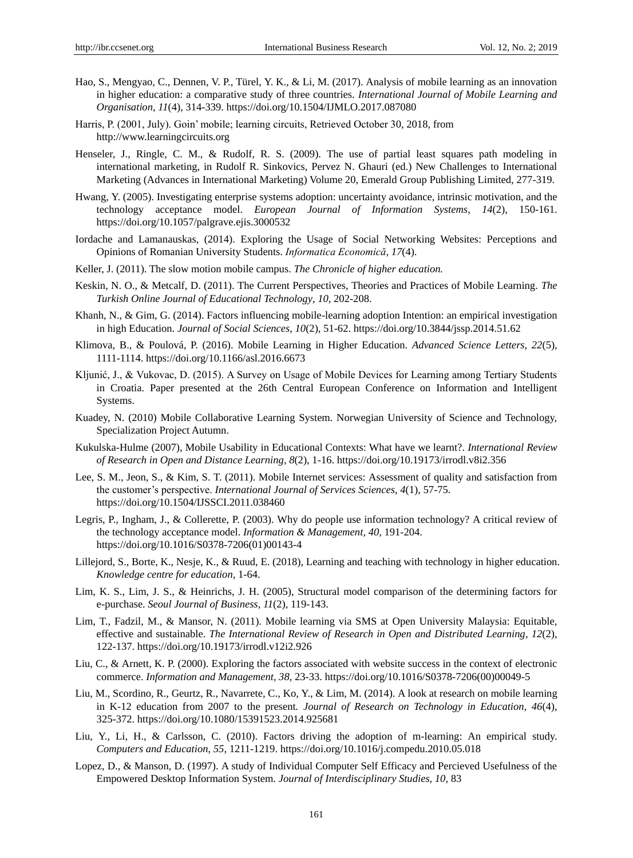- Hao, S., Mengyao, C., Dennen, V. P., Türel, Y. K., & Li, M. (2017). Analysis of mobile learning as an innovation in higher education: a comparative study of three countries. *International Journal of Mobile Learning and Organisation, 11*(4), 314-339. https://doi.org/10.1504/IJMLO.2017.087080
- Harris, P. (2001, July). Goin" mobile; learning circuits, Retrieved October 30, 2018, from http://www.learningcircuits.org
- Henseler, J., Ringle, C. M., & Rudolf, R. S. (2009). The use of partial least squares path modeling in international marketing, in Rudolf R. Sinkovics, Pervez N. Ghauri (ed.) New Challenges to International Marketing (Advances in International Marketing) Volume 20, Emerald Group Publishing Limited, 277-319.
- Hwang, Y. (2005). Investigating enterprise systems adoption: uncertainty avoidance, intrinsic motivation, and the technology acceptance model. *European Journal of Information Systems*, *14*(2), 150-161. https://doi.org/10.1057/palgrave.ejis.3000532
- Iordache and Lamanauskas, (2014). Exploring the Usage of Social Networking Websites: Perceptions and Opinions of Romanian University Students. *Informatica Economică*, *17*(4).
- Keller, J. (2011). The slow motion mobile campus. *The Chronicle of higher education.*
- Keskin, N. O., & Metcalf, D. (2011). The Current Perspectives, Theories and Practices of Mobile Learning. *The Turkish Online Journal of Educational Technology*, *10,* 202-208.
- Khanh, N., & Gim, G. (2014). Factors influencing mobile-learning adoption Intention: an empirical investigation in high Education. *Journal of Social Sciences*, *10*(2), 51-62. https://doi.org/10.3844/jssp.2014.51.62
- Klimova, B., & Poulová, P. (2016). Mobile Learning in Higher Education. *Advanced Science Letters, 22*(5), 1111-1114. https://doi.org/10.1166/asl.2016.6673
- Kljunić, J., & Vukovac, D. (2015). A Survey on Usage of Mobile Devices for Learning among Tertiary Students in Croatia. Paper presented at the 26th Central European Conference on Information and Intelligent Systems.
- Kuadey, N. (2010) Mobile Collaborative Learning System. Norwegian University of Science and Technology, Specialization Project Autumn.
- Kukulska-Hulme (2007), Mobile Usability in Educational Contexts: What have we learnt?. *International Review of Research in Open and Distance Learning*, *8*(2), 1-16. https://doi.org/10.19173/irrodl.v8i2.356
- Lee, S. M., Jeon, S., & Kim, S. T. (2011). Mobile Internet services: Assessment of quality and satisfaction from the customer"s perspective. *International Journal of Services Sciences*, *4*(1), 57-75. https://doi.org/10.1504/IJSSCI.2011.038460
- Legris, P., Ingham, J., & Collerette, P. (2003). Why do people use information technology? A critical review of the technology acceptance model. *Information & Management*, *40,* 191-204. https://doi.org/10.1016/S0378-7206(01)00143-4
- Lillejord, S., Borte, K., Nesje, K., & Ruud, E. (2018), Learning and teaching with technology in higher education. *Knowledge centre for education*, 1-64.
- Lim, K. S., Lim, J. S., & Heinrichs, J. H. (2005), Structural model comparison of the determining factors for e-purchase. *Seoul Journal of Business*, *11*(2), 119-143.
- Lim, T., Fadzil, M., & Mansor, N. (2011). Mobile learning via SMS at Open University Malaysia: Equitable, effective and sustainable. *The International Review of Research in Open and Distributed Learning*, *12*(2), 122-137. https://doi.org/10.19173/irrodl.v12i2.926
- Liu, C., & Arnett, K. P. (2000). Exploring the factors associated with website success in the context of electronic commerce. *Information and Management*, *38,* 23-33. https://doi.org/10.1016/S0378-7206(00)00049-5
- Liu, M., Scordino, R., Geurtz, R., Navarrete, C., Ko, Y., & Lim, M. (2014). A look at research on mobile learning in K-12 education from 2007 to the present*. Journal of Research on Technology in Education*, *46*(4), 325-372. https://doi.org/10.1080/15391523.2014.925681
- Liu, Y., Li, H., & Carlsson, C. (2010). Factors driving the adoption of m-learning: An empirical study. *Computers and Education*, *55,* 1211-1219. https://doi.org/10.1016/j.compedu.2010.05.018
- Lopez, D., & Manson, D. (1997). A study of Individual Computer Self Efficacy and Percieved Usefulness of the Empowered Desktop Information System. *Journal of Interdisciplinary Studies*, *10,* 83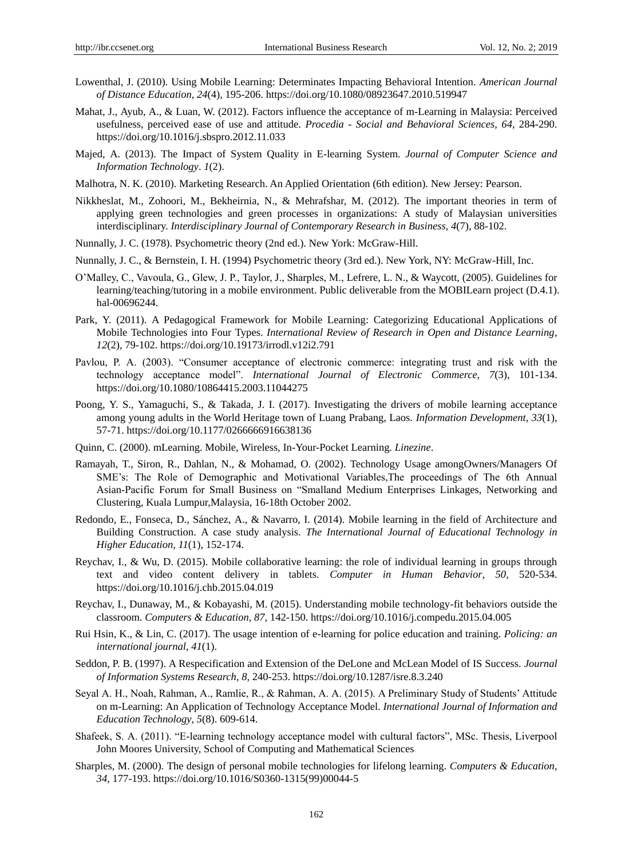- Lowenthal, J. (2010). Using Mobile Learning: Determinates Impacting Behavioral Intention. *American Journal of Distance Education*, *24*(4), 195-206. https://doi.org/10.1080/08923647.2010.519947
- Mahat, J., Ayub, A., & Luan, W. (2012). Factors influence the acceptance of m-Learning in Malaysia: Perceived usefulness, perceived ease of use and attitude. *Procedia - Social and Behavioral Sciences, 64,* 284-290. https://doi.org/10.1016/j.sbspro.2012.11.033
- Majed, A. (2013). The Impact of System Quality in E-learning System. *Journal of Computer Science and Information Technology*. *1*(2).
- Malhotra, N. K. (2010). Marketing Research. An Applied Orientation (6th edition). New Jersey: Pearson.
- Nikkheslat, M., Zohoori, M., Bekheirnia, N., & Mehrafshar, M. (2012). The important theories in term of applying green technologies and green processes in organizations: A study of Malaysian universities interdisciplinary. *Interdisciplinary Journal of Contemporary Research in Business*, *4*(7), 88-102.
- Nunnally, J. C. (1978). Psychometric theory (2nd ed.). New York: McGraw-Hill.
- Nunnally, J. C., & Bernstein, I. H. (1994) Psychometric theory (3rd ed.). New York, NY: McGraw-Hill, Inc.
- O"Malley, C., Vavoula, G., Glew, J. P., Taylor, J., Sharples, M., Lefrere, L. N., & Waycott, (2005). Guidelines for learning/teaching/tutoring in a mobile environment. Public deliverable from the MOBILearn project (D.4.1). hal-00696244.
- Park, Y. (2011). A Pedagogical Framework for Mobile Learning: Categorizing Educational Applications of Mobile Technologies into Four Types. *International Review of Research in Open and Distance Learning*, *12*(2), 79-102. https://doi.org/10.19173/irrodl.v12i2.791
- Pavlou, P. A. (2003). "Consumer acceptance of electronic commerce: integrating trust and risk with the technology acceptance model". *International Journal of Electronic Commerce, 7*(3), 101-134. https://doi.org/10.1080/10864415.2003.11044275
- Poong, Y. S., Yamaguchi, S., & Takada, J. I. (2017). Investigating the drivers of mobile learning acceptance among young adults in the World Heritage town of Luang Prabang, Laos. *Information Development*, *33*(1), 57-71. https://doi.org/10.1177/0266666916638136
- Quinn, C. (2000). mLearning. Mobile, Wireless, In-Your-Pocket Learning. *Linezine*.
- Ramayah, T., Siron, R., Dahlan, N., & Mohamad, O. (2002). Technology Usage amongOwners/Managers Of SME"s: The Role of Demographic and Motivational Variables,The proceedings of The 6th Annual Asian-Pacific Forum for Small Business on "Smalland Medium Enterprises Linkages, Networking and Clustering, Kuala Lumpur,Malaysia, 16-18th October 2002.
- Redondo, E., Fonseca, D., Sánchez, A., & Navarro, I. (2014). Mobile learning in the field of Architecture and Building Construction. A case study analysis. *The International Journal of Educational Technology in Higher Education, 11*(1), 152-174.
- Reychav, I., & Wu, D. (2015). Mobile collaborative learning: the role of individual learning in groups through text and video content delivery in tablets. *Computer in Human Behavior*, *50,* 520-534. https://doi.org/10.1016/j.chb.2015.04.019
- Reychav, I., Dunaway, M., & Kobayashi, M. (2015). Understanding mobile technology-fit behaviors outside the classroom. *Computers & Education*, *87,* 142-150. https://doi.org/10.1016/j.compedu.2015.04.005
- Rui Hsin, K., & Lin, C. (2017). The usage intention of e-learning for police education and training. *Policing: an international journal*, *41*(1).
- Seddon, P. B. (1997). A Respecification and Extension of the DeLone and McLean Model of IS Success. *Journal of Information Systems Research*, *8,* 240-253. https://doi.org/10.1287/isre.8.3.240
- Seyal A. H., Noah, Rahman, A., Ramlie, R., & Rahman, A. A. (2015). A Preliminary Study of Students" Attitude on m-Learning: An Application of Technology Acceptance Model. *International Journal of Information and Education Technology*, *5*(8). 609-614.
- Shafeek, S. A. (2011). "E-learning technology acceptance model with cultural factors", MSc. Thesis, Liverpool John Moores University, School of Computing and Mathematical Sciences
- Sharples, M. (2000). The design of personal mobile technologies for lifelong learning. *Computers & Education, 34,* 177-193. https://doi.org/10.1016/S0360-1315(99)00044-5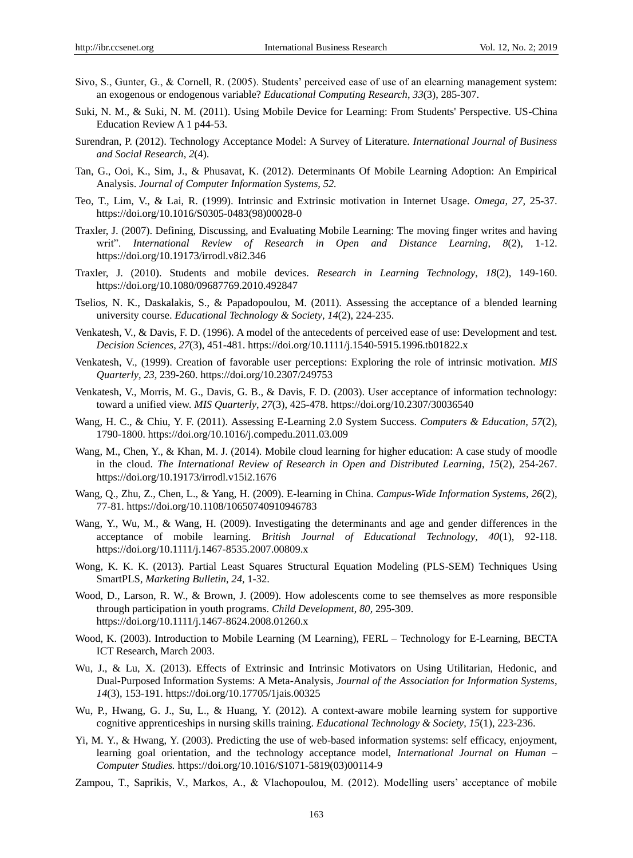- Sivo, S., Gunter, G., & Cornell, R. (2005). Students" perceived ease of use of an elearning management system: an exogenous or endogenous variable? *Educational Computing Research*, *33*(3), 285-307.
- Suki, N. M., & Suki, N. M. (2011). Using Mobile Device for Learning: From Students' Perspective. US-China Education Review A 1 p44-53.
- Surendran, P. (2012). Technology Acceptance Model: A Survey of Literature. *International Journal of Business and Social Research*, *2*(4).
- Tan, G., Ooi, K., Sim, J., & Phusavat, K. (2012). Determinants Of Mobile Learning Adoption: An Empirical Analysis. *Journal of Computer Information Systems, 52.*
- Teo, T., Lim, V., & Lai, R. (1999). Intrinsic and Extrinsic motivation in Internet Usage. *Omega, 27,* 25-37. https://doi.org/10.1016/S0305-0483(98)00028-0
- Traxler, J. (2007). Defining, Discussing, and Evaluating Mobile Learning: The moving finger writes and having writ". *International Review of Research in Open and Distance Learning*, *8*(2), 1-12. https://doi.org/10.19173/irrodl.v8i2.346
- Traxler, J. (2010). Students and mobile devices. *Research in Learning Technology*, *18*(2), 149-160. https://doi.org/10.1080/09687769.2010.492847
- Tselios, N. K., Daskalakis, S., & Papadopoulou, M. (2011). Assessing the acceptance of a blended learning university course. *Educational Technology & Society*, *14*(2), 224-235.
- Venkatesh, V., & Davis, F. D. (1996). A model of the antecedents of perceived ease of use: Development and test. *Decision Sciences*, *27*(3), 451-481. https://doi.org/10.1111/j.1540-5915.1996.tb01822.x
- Venkatesh, V., (1999). Creation of favorable user perceptions: Exploring the role of intrinsic motivation. *MIS Quarterly*, *23,* 239-260. https://doi.org/10.2307/249753
- Venkatesh, V., Morris, M. G., Davis, G. B., & Davis, F. D. (2003). User acceptance of information technology: toward a unified view. *MIS Quarterly*, *27*(3), 425-478. https://doi.org/10.2307/30036540
- Wang, H. C., & Chiu, Y. F. (2011). Assessing E-Learning 2.0 System Success. *Computers & Education*, *57*(2), 1790-1800. https://doi.org/10.1016/j.compedu.2011.03.009
- Wang, M., Chen, Y., & Khan, M. J. (2014). Mobile cloud learning for higher education: A case study of moodle in the cloud. *The International Review of Research in Open and Distributed Learning*, *15*(2), 254-267. https://doi.org/10.19173/irrodl.v15i2.1676
- Wang, Q., Zhu, Z., Chen, L., & Yang, H. (2009). E-learning in China. *Campus-Wide Information Systems*, *26*(2), 77-81. https://doi.org/10.1108/10650740910946783
- Wang, Y., Wu, M., & Wang, H. (2009). Investigating the determinants and age and gender differences in the acceptance of mobile learning. *British Journal of Educational Technology*, *40*(1), 92-118. https://doi.org/10.1111/j.1467-8535.2007.00809.x
- Wong, K. K. K. (2013). Partial Least Squares Structural Equation Modeling (PLS-SEM) Techniques Using SmartPLS*, Marketing Bulletin*, *24,* 1-32.
- Wood, D., Larson, R. W., & Brown, J. (2009). How adolescents come to see themselves as more responsible through participation in youth programs. *Child Development*, *80,* 295-309. https://doi.org/10.1111/j.1467-8624.2008.01260.x
- Wood, K. (2003). Introduction to Mobile Learning (M Learning), FERL Technology for E-Learning, BECTA ICT Research, March 2003.
- Wu, J., & Lu, X. (2013). Effects of Extrinsic and Intrinsic Motivators on Using Utilitarian, Hedonic, and Dual-Purposed Information Systems: A Meta-Analysis, *Journal of the Association for Information Systems*, *14*(3), 153-191. https://doi.org/10.17705/1jais.00325
- Wu, P., Hwang, G. J., Su, L., & Huang, Y. (2012). A context-aware mobile learning system for supportive cognitive apprenticeships in nursing skills training. *Educational Technology & Society*, *15*(1), 223-236.
- Yi, M. Y., & Hwang, Y. (2003). Predicting the use of web-based information systems: self efficacy, enjoyment, learning goal orientation, and the technology acceptance model, *International Journal on Human – Computer Studies.* https://doi.org/10.1016/S1071-5819(03)00114-9
- Zampou, T., Saprikis, V., Markos, A., & Vlachopoulou, M. (2012). Modelling users" acceptance of mobile